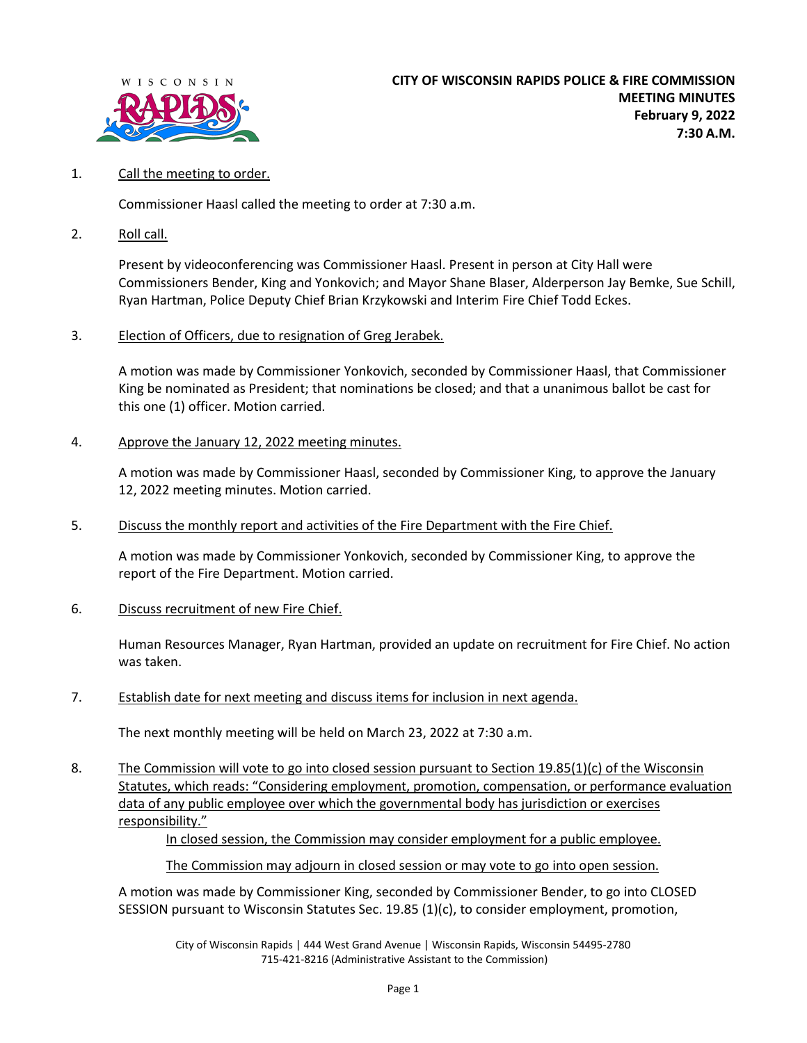

## 1. Call the meeting to order.

Commissioner Haasl called the meeting to order at 7:30 a.m.

2. Roll call.

Present by videoconferencing was Commissioner Haasl. Present in person at City Hall were Commissioners Bender, King and Yonkovich; and Mayor Shane Blaser, Alderperson Jay Bemke, Sue Schill, Ryan Hartman, Police Deputy Chief Brian Krzykowski and Interim Fire Chief Todd Eckes.

3. Election of Officers, due to resignation of Greg Jerabek.

A motion was made by Commissioner Yonkovich, seconded by Commissioner Haasl, that Commissioner King be nominated as President; that nominations be closed; and that a unanimous ballot be cast for this one (1) officer. Motion carried.

## 4. Approve the January 12, 2022 meeting minutes.

A motion was made by Commissioner Haasl, seconded by Commissioner King, to approve the January 12, 2022 meeting minutes. Motion carried.

5. Discuss the monthly report and activities of the Fire Department with the Fire Chief.

A motion was made by Commissioner Yonkovich, seconded by Commissioner King, to approve the report of the Fire Department. Motion carried.

6. Discuss recruitment of new Fire Chief.

Human Resources Manager, Ryan Hartman, provided an update on recruitment for Fire Chief. No action was taken.

7. Establish date for next meeting and discuss items for inclusion in next agenda.

The next monthly meeting will be held on March 23, 2022 at 7:30 a.m.

8. The Commission will vote to go into closed session pursuant to Section 19.85(1)(c) of the Wisconsin Statutes, which reads: "Considering employment, promotion, compensation, or performance evaluation data of any public employee over which the governmental body has jurisdiction or exercises responsibility."

In closed session, the Commission may consider employment for a public employee.

The Commission may adjourn in closed session or may vote to go into open session.

A motion was made by Commissioner King, seconded by Commissioner Bender, to go into CLOSED SESSION pursuant to Wisconsin Statutes Sec. 19.85 (1)(c), to consider employment, promotion,

City of Wisconsin Rapids | 444 West Grand Avenue | Wisconsin Rapids, Wisconsin 54495-2780 715-421-8216 (Administrative Assistant to the Commission)